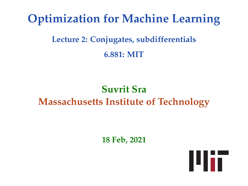# **Optimization for Machine Learning**

# **Lecture 2: Conjugates, subdifferentials 6.881: MIT**

# **Suvrit Sra Massachusetts Institute of Technology**

**18 Feb, 2021**

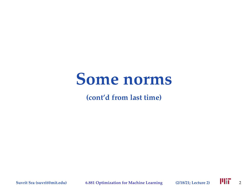# **Some norms**

**(cont'd from last time)**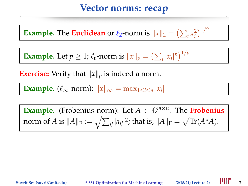### **Vector norms: recap**

**Example.** The **Euclidean** or  $\ell_2$ -norm is  $||x||_2 = \left(\sum_i x_i^2\right)^{1/2}$ 

**Example.** Let  $p \ge 1$ ;  $\ell_p$ -norm is  $||x||_p = \left(\sum_i |x_i|^p\right)^{1/p}$ 

**Exercise:** Verify that  $||x||_p$  is indeed a norm.

**Example.** ( $\ell_{\infty}$ -norm):  $||x||_{\infty} = \max_{1 \leq i \leq n} |x_i|$ 

**Example.** (Frobenius-norm): Let  $A \in \mathbb{C}^{m \times n}$ . The **Frobenius** norm of *A* is  $\|A\|_{\mathrm{F}} := \sqrt{\sum_{ij} |a_{ij}|^2}$ ; that is,  $\|A\|_{\mathrm{F}} = \sqrt{\text{Tr}(A^*A)}.$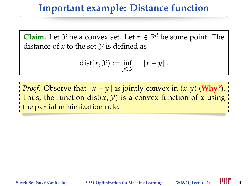### **Important example: Distance function**

**Claim.** Let *y* be a convex set. Let  $x \in \mathbb{R}^d$  be some point. The distance of  $x$  to the set  $\mathcal V$  is defined as

$$
dist(x, y) := \inf_{y \in y} \|x - y\|.
$$

*Proof.* Observe that  $||x - y||$  is jointly convex in  $(x, y)$  (Why?). Thus, the function dist( $x$ ,  $y$ ) is a convex function of  $x$  using the partial minimization rule.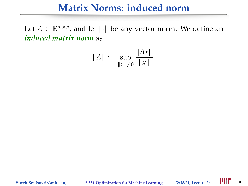### **Matrix Norms: induced norm**

Let  $A \in \mathbb{R}^{m \times n}$ , and let  $\|\cdot\|$  be any vector norm. We define an *induced matrix norm* as

$$
||A|| := \sup_{||x|| \neq 0} \frac{||Ax||}{||x||}.
$$

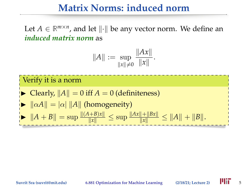### **Matrix Norms: induced norm**

Let  $A \in \mathbb{R}^{m \times n}$ , and let  $\|\cdot\|$  be any vector norm. We define an *induced matrix norm* as

$$
||A|| := \sup_{||x|| \neq 0} \frac{||Ax||}{||x||}.
$$

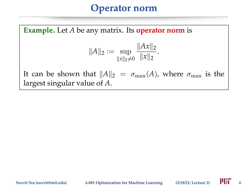**Example.** Let *A* be any matrix. Its **operator norm** is

$$
||A||_2 := \sup_{||x||_2 \neq 0} \frac{||Ax||_2}{||x||_2}.
$$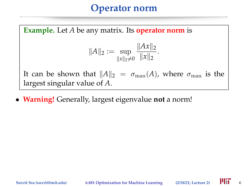**Example.** Let *A* be any matrix. Its **operator norm** is  $||A||_2 := \sup_{||x||_2}$  $\|x\|_2 \neq 0$  $||Ax||_2$  $\|x\|_2$ . It can be shown that  $||A||_2 = \sigma_{\text{max}}(A)$ , where  $\sigma_{\text{max}}$  is the largest singular value of *A*.

• **Warning!** Generally, largest eigenvalue **not** a norm!

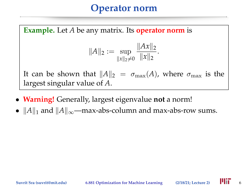**Example.** Let *A* be any matrix. Its **operator norm** is

$$
||A||_2 := \sup_{||x||_2 \neq 0} \frac{||Ax||_2}{||x||_2}.
$$

- **Warning!** Generally, largest eigenvalue **not** a norm!
- $||A||_1$  and  $||A||_{\infty}$ —max-abs-column and max-abs-row sums.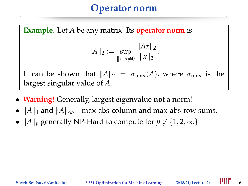**Example.** Let *A* be any matrix. Its **operator norm** is

$$
||A||_2 := \sup_{||x||_2 \neq 0} \frac{||Ax||_2}{||x||_2}.
$$

- **Warning!** Generally, largest eigenvalue **not** a norm!
- $||A||_1$  and  $||A||_{\infty}$ —max-abs-column and max-abs-row sums.
- $||A||_p$  generally NP-Hard to compute for  $p \notin \{1, 2, \infty\}$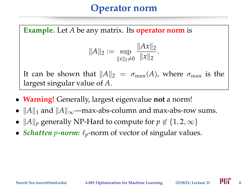**Example.** Let *A* be any matrix. Its **operator norm** is

$$
||A||_2 := \sup_{||x||_2 \neq 0} \frac{||Ax||_2}{||x||_2}.
$$

- **Warning!** Generally, largest eigenvalue **not** a norm!
- $||A||_1$  and  $||A||_{\infty}$ —max-abs-column and max-abs-row sums.
- $||A||_p$  generally NP-Hard to compute for  $p \notin \{1, 2, \infty\}$
- *Schatten p-norm:*  $\ell_p$ -norm of vector of singular values.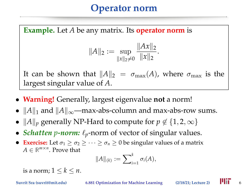**Example.** Let *A* be any matrix. Its **operator norm** is

$$
||A||_2 := \sup_{||x||_2 \neq 0} \frac{||Ax||_2}{||x||_2}.
$$

It can be shown that  $||A||_2 = \sigma_{\text{max}}(A)$ , where  $\sigma_{\text{max}}$  is the largest singular value of *A*.

- **Warning!** Generally, largest eigenvalue **not** a norm!
- $||A||_1$  and  $||A||_{\infty}$ —max-abs-column and max-abs-row sums.
- $||A||_p$  generally NP-Hard to compute for  $p \notin \{1, 2, \infty\}$
- *Schatten p-norm:*  $\ell_p$ -norm of vector of singular values.
- **Exercise:** Let  $\sigma_1 \geq \sigma_2 \geq \cdots \geq \sigma_n \geq 0$  be singular values of a matrix  $A \in \mathbb{R}^{m \times n}$ . Prove that

$$
||A||_{(k)} := \sum_{i=1}^k \sigma_i(A),
$$

is a norm;  $1 \leq k \leq n$ .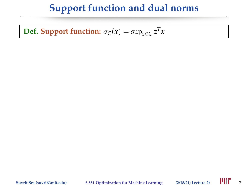### **Support function and dual norms**

**Def. Support function:**  $\sigma_C(x) = \sup_{z \in C} z^T x$ 

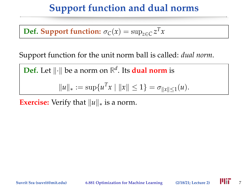### **Support function and dual norms**

**Def. Support function:**  $\sigma_C(x) = \sup_{z \in C} z^T x$ 

Support function for the unit norm ball is called: *dual norm*.

**Def.** Let  $\|\cdot\|$  be a norm on  $\mathbb{R}^d$ . Its **dual norm** is

$$
||u||_* := \sup \{ u^T x \mid ||x|| \le 1 \} = \sigma_{||x|| \le 1}(u).
$$

**Exercise:** Verify that  $||u||_*$  is a norm.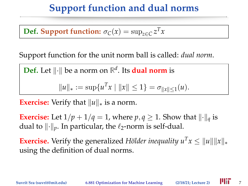# **Support function and dual norms**

**Def. Support function:**  $\sigma_C(x) = \sup_{z \in C} z^T x$ 

Support function for the unit norm ball is called: *dual norm*.

**Def.** Let  $\|\cdot\|$  be a norm on  $\mathbb{R}^d$ . Its **dual norm** is

$$
||u||_* := \sup \{ u^T x \mid ||x|| \le 1 \} = \sigma_{||x|| \le 1}(u).
$$

**Exercise:** Verify that  $||u||_*$  is a norm.

**Exercise:** Let  $1/p + 1/q = 1$ , where  $p, q \ge 1$ . Show that  $\|\cdot\|_q$  is dual to  $\|\cdot\|_p$ . In particular, the  $\ell_2$ -norm is self-dual.

**Exercise.** Verify the generalized *Hölder inequality*  $u^T x \le ||u|| ||x||_*$ using the definition of dual norms.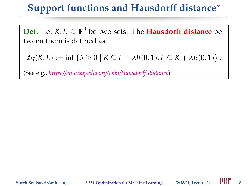# **Support functions and Hausdorff distance**?

**Def.** Let  $K, L \subseteq \mathbb{R}^d$  be two sets. The **Hausdorff distance** between them is defined as

 $d_H(K, L) := \inf \{ \lambda \ge 0 \mid K \subseteq L + \lambda B(0, 1), L \subseteq K + \lambda B(0, 1) \}$ .

(See e.g., *[https://en.wikipedia.org/wiki/Hausdorff](https://en.wikipedia.org/wiki/Hausdorff_distance) distance*)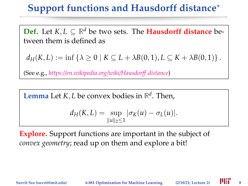# **Support functions and Hausdorff distance**?

**Def.** Let  $K, L \subseteq \mathbb{R}^d$  be two sets. The **Hausdorff distance** between them is defined as

 $d_H(K, L) := \inf \{ \lambda \geq 0 \mid K \subseteq L + \lambda B(0, 1), L \subseteq K + \lambda B(0, 1) \}$ .

(See e.g., *[https://en.wikipedia.org/wiki/Hausdorff](https://en.wikipedia.org/wiki/Hausdorff_distance) distance*)

**Lemma** Let *K*, *L* be convex bodies in  $\mathbb{R}^d$ . Then,

$$
d_H(K,L) = \sup_{\|u\|_2 \le 1} |\sigma_K(u) - \sigma_L(u)|.
$$

**Explore.** Support functions are important in the subject of *convex geometry*; read up on them and explore a bit!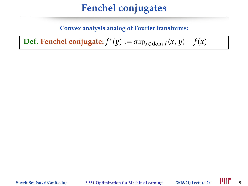#### **Convex analysis analog of Fourier transforms:**

 $\textbf{Def.}$  **Fenchel conjugate:**  $f^*(y) := \sup_{x \in \textbf{dom } f} \langle x, y \rangle - f(x)$ 

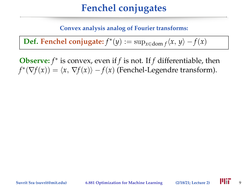#### **Convex analysis analog of Fourier transforms:**

 $\textbf{Def.}$  **Fenchel conjugate:**  $f^*(y) := \sup_{x \in \textbf{dom } f} \langle x, y \rangle - f(x)$ 

**Observe:** *f* ∗ is convex, even if *f* is not. If *f* differentiable, then  $f^*(\nabla f(x)) = \langle x, \nabla f(x) \rangle - f(x)$  (Fenchel-Legendre transform).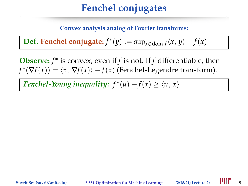#### **Convex analysis analog of Fourier transforms:**

 $\textbf{Def.}$  **Fenchel conjugate:**  $f^*(y) := \sup_{x \in \textbf{dom } f} \langle x, y \rangle - f(x)$ 

**Observe:** *f* ∗ is convex, even if *f* is not. If *f* differentiable, then  $f^*(\nabla f(x)) = \langle x, \nabla f(x) \rangle - f(x)$  (Fenchel-Legendre transform).

*Fenchel-Young inequality:*  $f^*(u) + f(x) \ge \langle u, x \rangle$ 

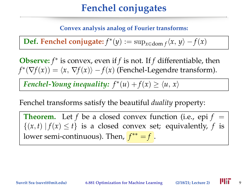#### **Convex analysis analog of Fourier transforms:**

 $\textbf{Def.}$  **Fenchel conjugate:**  $f^*(y) := \sup_{x \in \textbf{dom } f} \langle x, y \rangle - f(x)$ 

**Observe:** *f* ∗ is convex, even if *f* is not. If *f* differentiable, then  $f^*(\nabla f(x)) = \langle x, \nabla f(x) \rangle - f(x)$  (Fenchel-Legendre transform).

*Fenchel-Young inequality:*  $f^*(u) + f(x) \ge \langle u, x \rangle$ 

Fenchel transforms satisfy the beautiful *duality* property:

**Theorem.** Let *f* be a closed convex function (i.e., epi  $f =$  $\{(x, t) | f(x) \leq t\}$  is a closed convex set; equivalently, *f* is lower semi-continuous). Then, *f* ∗∗ = *f* .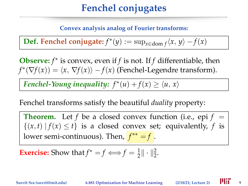#### **Convex analysis analog of Fourier transforms:**

 $\textbf{Def.}$  **Fenchel conjugate:**  $f^*(y) := \sup_{x \in \textbf{dom } f} \langle x, y \rangle - f(x)$ 

**Observe:** *f* ∗ is convex, even if *f* is not. If *f* differentiable, then  $f^*(\nabla f(x)) = \langle x, \nabla f(x) \rangle - f(x)$  (Fenchel-Legendre transform).

*Fenchel-Young inequality:*  $f^*(u) + f(x) \ge \langle u, x \rangle$ 

Fenchel transforms satisfy the beautiful *duality* property:

**Theorem.** Let *f* be a closed convex function (i.e., epi  $f =$  $\{(x, t) | f(x) \leq t\}$  is a closed convex set; equivalently, *f* is lower semi-continuous). Then, *f* ∗∗ = *f* .

**Exercise:** Show that 
$$
f^* = f \Longleftrightarrow f = \frac{1}{2} || \cdot ||_2^2
$$
.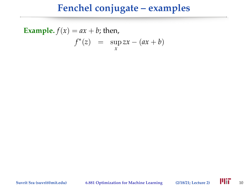**Example.** 
$$
f(x) = ax + b
$$
; then,  

$$
f^*(z) = \sup_x zx - (ax + b)
$$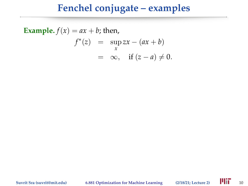**Example.**  $f(x) = ax + b$ ; then,  $f^*(z) = \sup_{x} zx - (ax + b)$ *x*  $= \infty$ , if  $(z - a) \neq 0$ .

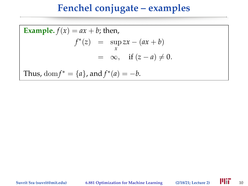Example. 
$$
f(x) = ax + b
$$
; then,  
\n
$$
f^*(z) = \sup_x zx - (ax + b)
$$
\n
$$
= \infty, \text{ if } (z - a) \neq 0.
$$
\nThus,  $\text{dom} f^* = \{a\}$ , and  $f^*(a) = -b$ .

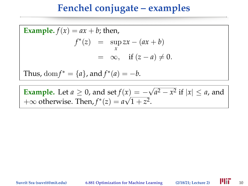Example. 
$$
f(x) = ax + b
$$
; then,  
\n
$$
f^*(z) = \sup_x zx - (ax + b)
$$
\n
$$
= \infty, \text{ if } (z - a) \neq 0.
$$
\nThus,  $\text{dom} f^* = \{a\}$ , and  $f^*(a) = -b$ .

**Example.** Let  $a \ge 0$ , and set  $f(x) = -\sqrt{a^2 - x^2}$  if  $|x| \le a$ , and  $+\infty$  otherwise. Then,  $f^*(z) = a\sqrt{1+z^2}$ .

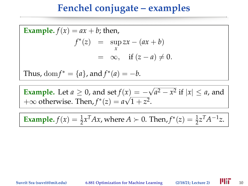Example. 
$$
f(x) = ax + b
$$
; then,  
\n
$$
f^*(z) = \sup_x zx - (ax + b)
$$
\n
$$
= \infty, \text{ if } (z - a) \neq 0.
$$
\nThus,  $\text{dom} f^* = \{a\}$ , and  $f^*(a) = -b$ .

**Example.** Let  $a \ge 0$ , and set  $f(x) = -\sqrt{a^2 - x^2}$  if  $|x| \le a$ , and  $+\infty$  otherwise. Then,  $f^*(z) = a\sqrt{1+z^2}$ .

**Example.**  $f(x) = \frac{1}{2}x^T A x$ , where  $A > 0$ . Then,  $f^*(z) = \frac{1}{2}z^T A^{-1} z$ .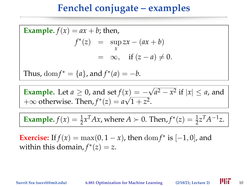Example. 
$$
f(x) = ax + b
$$
; then,  
\n
$$
f^*(z) = \sup_x zx - (ax + b)
$$
\n
$$
= \infty, \text{ if } (z - a) \neq 0.
$$
\nThus,  $\text{dom} f^* = \{a\}$ , and  $f^*(a) = -b$ .

**Example.** Let  $a \ge 0$ , and set  $f(x) = -\sqrt{a^2 - x^2}$  if  $|x| \le a$ , and  $+\infty$  otherwise. Then,  $f^*(z) = a\sqrt{1+z^2}$ .

**Example.**  $f(x) = \frac{1}{2}x^T A x$ , where  $A > 0$ . Then,  $f^*(z) = \frac{1}{2}z^T A^{-1} z$ .

**Exercise:** If  $f(x) = \max(0, 1 - x)$ , then  $\text{dom } f^*$  is  $[-1, 0]$ , and within this domain,  $f^*(z) = z$ .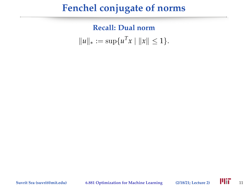# **Fenchel conjugate of norms**

**Recall: Dual norm**  $||u||_* := \sup\{u^T x \mid ||x|| \leq 1\}.$ 

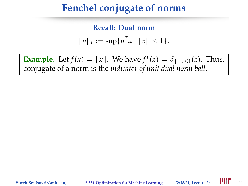# **Fenchel conjugate of norms**

**Recall: Dual norm**  $||u||_* := \sup\{u^T x \mid ||x|| \leq 1\}.$ 

**Example.** Let  $f(x) = ||x||$ . We have  $f^*(z) = \delta_{\| \cdot \|_* \leq 1} (z)$ . Thus, conjugate of a norm is the *indicator of unit dual norm ball*.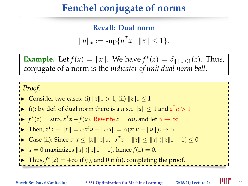# **Fenchel conjugate of norms**

**Recall: Dual norm**  $||u||_* := \sup\{u^T x \mid ||x|| \leq 1\}.$ 

**Example.** Let  $f(x) = ||x||$ . We have  $f^*(z) = \delta_{\| \cdot \|_* \leq 1} (z)$ . Thus, conjugate of a norm is the *indicator of unit dual norm ball*.

#### *Proof.*

- Consider two cases: (i)  $||z||_* > 1$ ; (ii)  $||z||_* \le 1$
- ▶ (i): by def. of dual norm there is a *u* s.t.  $||u|| ≤ 1$  and  $z<sup>T</sup>u > 1$

$$
f^*(z) = \sup_x x^T z - f(x)
$$
. Rewrite  $x = \alpha u$ , and let  $\alpha \to \infty$ 

- **►** Then,  $z^T x ||x|| = \alpha z^T u ||\alpha u|| = \alpha (z^T u ||u||); \rightarrow \infty$
- ► Case (ii): Since  $z^T x \le ||x|| ||z||_*$ ,  $x^T z ||x|| \le ||x|| (||z||_* 1) \le 0$ .
- $\triangleright$  *x* = 0 maximizes  $||x||(||z||_* 1)$ , hence  $f(z) = 0$ .
- **►** Thus,  $f^*(z) = +\infty$  if (i), and 0 if (ii), completing the proof.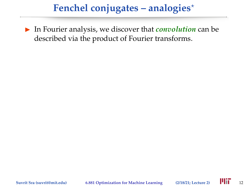In Fourier analysis, we discover that *convolution* can be described via the product of Fourier transforms.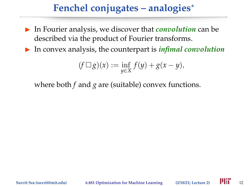- In Fourier analysis, we discover that *convolution* can be described via the product of Fourier transforms.
- $\triangleright$  In convex analysis, the counterpart is *infimal convolution*

$$
(f \square g)(x) := \inf_{y \in X} f(y) + g(x - y),
$$

where both *f* and *g* are (suitable) convex functions.

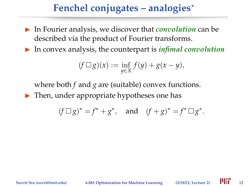- In Fourier analysis, we discover that *convolution* can be described via the product of Fourier transforms.
- In convex analysis, the counterpart is *infimal convolution*

$$
(f \square g)(x) := \inf_{y \in X} f(y) + g(x - y),
$$

where both *f* and *g* are (suitable) convex functions.

 $\blacktriangleright$  Then, under appropriate hypotheses one has

$$
(f \Box g)^* = f^* + g^*
$$
, and  $(f+g)^* = f^* \Box g^*$ .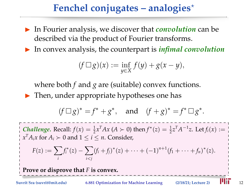- In Fourier analysis, we discover that *convolution* can be described via the product of Fourier transforms.
- In convex analysis, the counterpart is *infimal convolution*

$$
(f \square g)(x) := \inf_{y \in X} f(y) + g(x - y),
$$

where both *f* and *g* are (suitable) convex functions.

 $\blacktriangleright$  Then, under appropriate hypotheses one has

$$
(f \Box g)^* = f^* + g^*
$$
, and  $(f+g)^* = f^* \Box g^*$ .

*Challenge.* Recall:  $f(x) = \frac{1}{2}x^{T}Ax$  ( $A > 0$ ) then  $f^{*}(z) = \frac{1}{2}z^{T}A^{-1}z$ . Let  $f_{i}(x) :=$  $x^T A_i x$  for  $A_i \succ 0$  and  $1 \le i \le n$ . Consider,

$$
F(z) := \sum_i f_i^*(z) - \sum_{i < j} (f_i + f_j)^*(z) + \cdots + (-1)^{n+1} (f_1 + \cdots + f_n)^*(z).
$$

**Prove or disprove that** *F* **is convex.**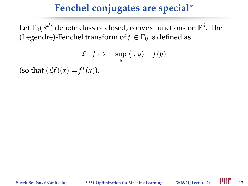# **Fenchel conjugates are special**?

Let  $\Gamma_0(\mathbb{R}^d)$  denote class of closed, convex functions on  $\mathbb{R}^d$ . The (Legendre)-Fenchel transform of  $f \in \Gamma_0$  is defined as

$$
\mathcal{L}: f \mapsto \sup_y \langle \cdot, y \rangle - f(y)
$$
  
(so that  $(\mathcal{L}f)(x) = f^*(x)$ ).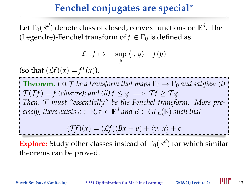# **Fenchel conjugates are special**?

Let  $\Gamma_0(\mathbb{R}^d)$  denote class of closed, convex functions on  $\mathbb{R}^d$ . The (Legendre)-Fenchel transform of  $f \in \Gamma_0$  is defined as

$$
\mathcal{L}: f \mapsto \sup_y \langle \cdot, y \rangle - f(y)
$$

(so that  $(Lf)(x) = f^*(x)$ ).

**Theorem.** Let  $\mathcal T$  be a transform that maps  $\Gamma_0 \to \Gamma_0$  and satifies: (i)  $\mathcal{T}(\mathcal{T}f) = f$  (closure); and (ii)  $f \leq g \implies \mathcal{T}f > \mathcal{T}g$ . *Then,* T *must "essentially" be the Fenchel transform. More precisely, there exists*  $c \in \mathbb{R}$ *,*  $v \in \mathbb{R}^d$  *and*  $B \in GL_n(\mathbb{R})$  *such that* 

$$
(\mathcal{T}f)(x) = (\mathcal{L}f)(Bx + v) + \langle v, x \rangle + c
$$

**Explore:** Study other classes instead of  $\Gamma_0(\mathbb{R}^d)$  for which similar theorems can be proved.

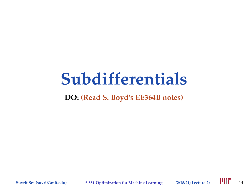# **Subdifferentials**

#### **DO: (Read S. Boyd's EE364B notes)**

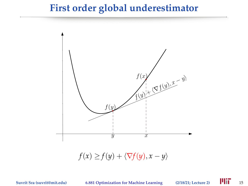#### **First order global underestimator**

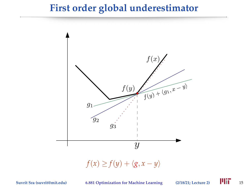#### **First order global underestimator**



 $f(x) \geq f(y) + \langle g, x - y \rangle$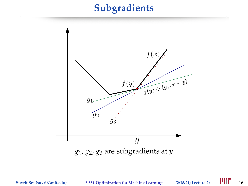#### **Subgradients**

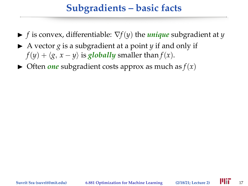# **Subgradients – basic facts**

- $\blacktriangleright$  *f* is convex, differentiable:  $\nabla f(y)$  the *unique* subgradient at *y*
- $\triangleright$  A vector *g* is a subgradient at a point *y* if and only if  $f(y) + \langle g, x - y \rangle$  is *globally* smaller than  $f(x)$ .
- $\triangleright$  Often *one* subgradient costs approx as much as  $f(x)$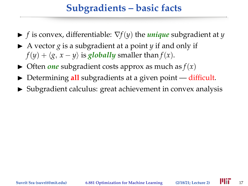# **Subgradients – basic facts**

- $\blacktriangleright$  *f* is convex, differentiable:  $\nabla f(y)$  the *unique* subgradient at *y*
- $\triangleright$  A vector *g* is a subgradient at a point *y* if and only if  $f(y) + \langle g, x - y \rangle$  is *globally* smaller than  $f(x)$ .
- $\triangleright$  Often *one* subgradient costs approx as much as  $f(x)$
- ▶ Determining **all** subgradients at a given point difficult.
- $\triangleright$  Subgradient calculus: great achievement in convex analysis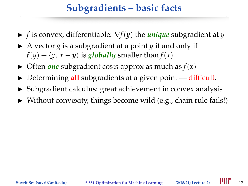# **Subgradients – basic facts**

- $\blacktriangleright$  *f* is convex, differentiable:  $\nabla f(y)$  the *unique* subgradient at *y*
- $\triangleright$  A vector *g* is a subgradient at a point *y* if and only if  $f(y) + \langle g, x - y \rangle$  is *globally* smaller than  $f(x)$ .
- $\triangleright$  Often *one* subgradient costs approx as much as  $f(x)$
- ▶ Determining **all** subgradients at a given point difficult.
- $\triangleright$  Subgradient calculus: great achievement in convex analysis
- $\triangleright$  Without convexity, things become wild (e.g., chain rule fails!)

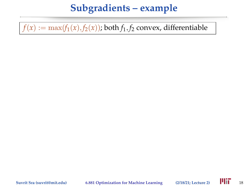$f(x) := \max(f_1(x), f_2(x))$ ; both  $f_1, f_2$  convex, differentiable

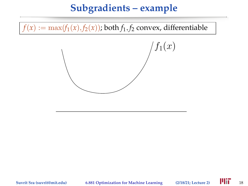$f(x) := \max(f_1(x), f_2(x))$ ; both  $f_1, f_2$  convex, differentiable

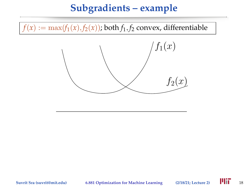$f(x) := \max(f_1(x), f_2(x))$ ; both  $f_1, f_2$  convex, differentiable



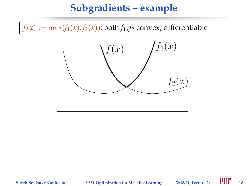$f(x) := \max(f_1(x), f_2(x))$ ; both  $f_1, f_2$  convex, differentiable

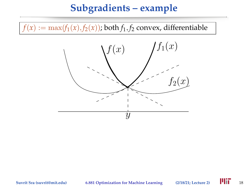$f(x) := \max(f_1(x), f_2(x))$ ; both  $f_1, f_2$  convex, differentiable



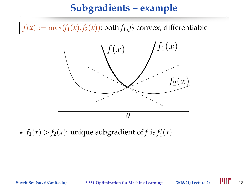$f(x) := \max(f_1(x), f_2(x))$ ; both  $f_1, f_2$  convex, differentiable



 $\star$   $f_1(x) > f_2(x)$ : unique subgradient of *f* is  $f'_1(x)$ 

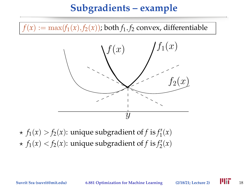$f(x) := \max(f_1(x), f_2(x))$ ; both  $f_1, f_2$  convex, differentiable



 $\star$   $f_1(x) > f_2(x)$ : unique subgradient of *f* is  $f'_1(x)$  $\star$   $f_1(x) < f_2(x)$ : unique subgradient of *f* is  $f_2'(x)$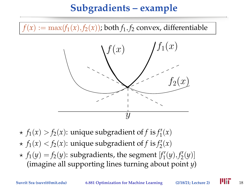$f(x) := \max(f_1(x), f_2(x))$ ; both  $f_1, f_2$  convex, differentiable



 $\star$   $f_1(x) > f_2(x)$ : unique subgradient of *f* is  $f'_1(x)$  $\star$   $f_1(x) < f_2(x)$ : unique subgradient of *f* is  $f_2'(x)$  $\star$   $f_1(y) = f_2(y)$ : subgradients, the segment  $[f'_1(y), f'_2(y)]$ (imagine all supporting lines turning about point *y*)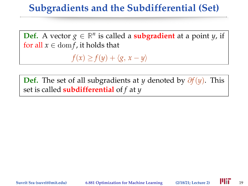**Def.** A vector  $g \in \mathbb{R}^n$  is called a **subgradient** at a point *y*, if for all  $x \in \text{dom } f$ , it holds that

 $f(x) \geq f(y) + \langle g, x - y \rangle$ 

**Def.** The set of all subgradients at *y* denoted by ∂*f*(*y*). This set is called **subdifferential** of *f* at *y*

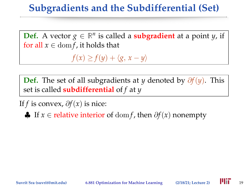**Def.** A vector  $g \in \mathbb{R}^n$  is called a **subgradient** at a point *y*, if for all  $x \in \text{dom } f$ , it holds that

 $f(x) \geq f(y) + \langle g, x - y \rangle$ 

**Def.** The set of all subgradients at *y* denoted by ∂*f*(*y*). This set is called **subdifferential** of *f* at *y*

If *f* is convex,  $\partial f(x)$  is nice:

♣ If *x* ∈ relative interior of dom *f*, then ∂*f*(*x*) nonempty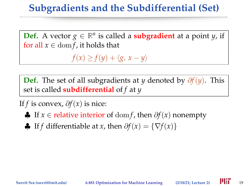**Def.** A vector  $g \in \mathbb{R}^n$  is called a **subgradient** at a point *y*, if for all  $x \in \text{dom } f$ , it holds that

 $f(x) \geq f(y) + \langle g, x - y \rangle$ 

**Def.** The set of all subgradients at *y* denoted by ∂*f*(*y*). This set is called **subdifferential** of *f* at *y*

If *f* is convex,  $\partial f(x)$  is nice:

- ♣ If *x* ∈ relative interior of dom *f*, then ∂*f*(*x*) nonempty
- $\bigoplus$  If *f* differentiable at *x*, then  $\partial f(x) = \{\nabla f(x)\}\$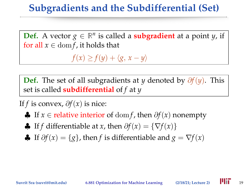**Def.** A vector  $g \in \mathbb{R}^n$  is called a **subgradient** at a point *y*, if for all  $x \in \text{dom } f$ , it holds that

 $f(x) \geq f(y) + \langle g, x - y \rangle$ 

**Def.** The set of all subgradients at *y* denoted by ∂*f*(*y*). This set is called **subdifferential** of *f* at *y*

If *f* is convex,  $\partial f(x)$  is nice:

- ♣ If *x* ∈ relative interior of dom *f*, then ∂*f*(*x*) nonempty
- $\bigoplus$  If *f* differentiable at *x*, then  $\partial f(x) = \{\nabla f(x)\}\$
- **♣** If  $\partial f(x) = \{g\}$ , then *f* is differentiable and  $g = \nabla f(x)$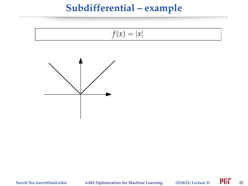# **Subdifferential – example**

$$
f(x) = |x|
$$

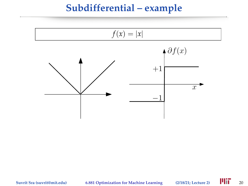#### **Subdifferential – example**



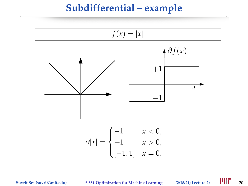#### **Subdifferential – example**

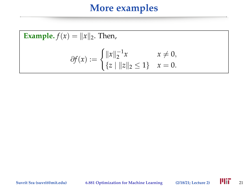#### **More examples**

Example. 
$$
f(x) = ||x||_2
$$
. Then,  

$$
\partial f(x) := \begin{cases} ||x||_2^{-1}x & x \neq 0, \\ \{z \mid ||z||_2 \leq 1\} & x = 0. \end{cases}
$$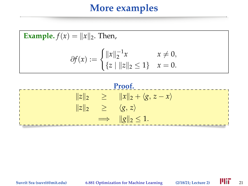#### **More examples**

Example. 
$$
f(x) = ||x||_2
$$
. Then,  

$$
\partial f(x) := \begin{cases} ||x||_2^{-1}x & x \neq 0, \\ \{z \mid ||z||_2 \leq 1\} & x = 0. \end{cases}
$$



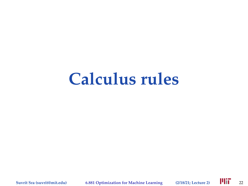# **Calculus rules**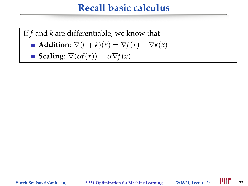### **Recall basic calculus**

If *f* and *k* are differentiable, we know that

$$
\blacksquare \text{ Addition: } \nabla (f + k)(x) = \nabla f(x) + \nabla k(x)
$$

■ **Scaling**: 
$$
\nabla(\alpha f(x)) = \alpha \nabla f(x)
$$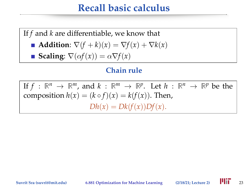#### **Recall basic calculus**

If *f* and *k* are differentiable, we know that

- **Addition:**  $\nabla (f + k)(x) = \nabla f(x) + \nabla k(x)$
- **Scaling**:  $\nabla(\alpha f(x)) = \alpha \nabla f(x)$

#### **Chain rule**

If  $f: \mathbb{R}^n \to \mathbb{R}^m$ , and  $k: \mathbb{R}^m \to \mathbb{R}^p$ . Let  $h: \mathbb{R}^n \to \mathbb{R}^p$  be the composition  $h(x) = (k \circ f)(x) = k(f(x))$ . Then,  $Dh(x) = Dk(f(x))Df(x).$ 

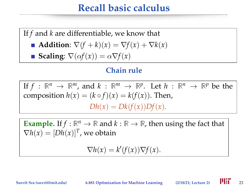## **Recall basic calculus**

If *f* and *k* are differentiable, we know that

- **Addition:**  $\nabla (f + k)(x) = \nabla f(x) + \nabla k(x)$
- **Scaling**:  $\nabla(\alpha f(x)) = \alpha \nabla f(x)$

#### **Chain rule**

If  $f: \mathbb{R}^n \to \mathbb{R}^m$ , and  $k: \mathbb{R}^m \to \mathbb{R}^p$ . Let  $h: \mathbb{R}^n \to \mathbb{R}^p$  be the composition  $h(x) = (k \circ f)(x) = k(f(x))$ . Then,  $Dh(x) = Dk(f(x))Df(x)$ .

**Example.** If  $f : \mathbb{R}^n \to \mathbb{R}$  and  $k : \mathbb{R} \to \mathbb{R}$ , then using the fact that  $\nabla h(x) = [Dh(x)]^T$ , we obtain

$$
\nabla h(x) = k'(f(x)) \nabla f(x).
$$

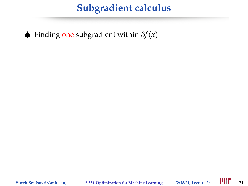♠ Finding one subgradient within ∂*f*(*x*)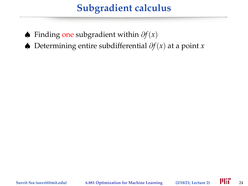- ♠ Finding one subgradient within ∂*f*(*x*)
- ♠ Determining entire subdifferential ∂*f*(*x*) at a point *x*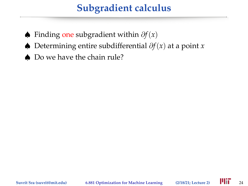- ♠ Finding one subgradient within ∂*f*(*x*)
- ♠ Determining entire subdifferential ∂*f*(*x*) at a point *x*
- ♠ Do we have the chain rule?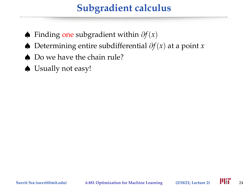- ♠ Finding one subgradient within ∂*f*(*x*)
- ♠ Determining entire subdifferential ∂*f*(*x*) at a point *x*
- ♠ Do we have the chain rule?
- ♠ Usually not easy!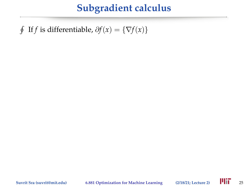$\oint$  If *f* is differentiable,  $\partial f(x) = \{\nabla f(x)\}\$ 

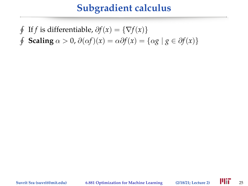$\oint$  If *f* is differentiable,  $\partial f(x) = \{\nabla f(x)\}\$  $\oint$ **Scaling**  $\alpha > 0$ ,  $\partial(\alpha f)(x) = \alpha \partial f(x) = {\alpha g \mid g \in \partial f(x)}$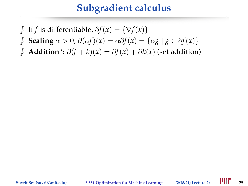- $\oint$ If *f* is differentiable,  $\partial f(x) = \{\nabla f(x)\}\$
- $\oint$ **Scaling**  $\alpha > 0$ ,  $\partial(\alpha f)(x) = \alpha \partial f(x) = {\alpha g \mid g \in \partial f(x)}$
- $\oint$ **Addition**<sup>\*</sup>:  $\partial(f+k)(x) = \partial f(x) + \partial k(x)$  (set addition)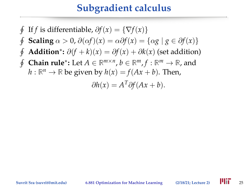$$
\oint \text{ If } f \text{ is differentiable, } \partial f(x) = \{ \nabla f(x) \}
$$
\n
$$
\oint \text{Scaling } \alpha > 0, \partial(\alpha f)(x) = \alpha \partial f(x) = \{ \alpha g \mid g \in \partial f(x) \}
$$
\n
$$
\oint \text{Addition}^* : \partial(f + k)(x) = \partial f(x) + \partial k(x) \text{ (set addition)}
$$
\n
$$
\oint \text{Chain rule}^* : \text{Let } A \in \mathbb{R}^{m \times n}, b \in \mathbb{R}^m, f : \mathbb{R}^m \to \mathbb{R}, \text{ and}
$$
\n
$$
h : \mathbb{R}^n \to \mathbb{R} \text{ be given by } h(x) = f(Ax + b). \text{ Then,}
$$
\n
$$
\partial h(x) = A^T \partial f(Ax + b).
$$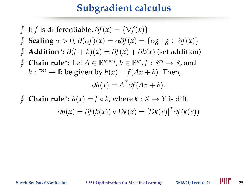$$
\oint \text{ If } f \text{ is differentiable, } \partial f(x) = \{ \nabla f(x) \}
$$
\n
$$
\oint \text{Scaling } \alpha > 0, \partial(\alpha f)(x) = \alpha \partial f(x) = \{ \alpha g \mid g \in \partial f(x) \}
$$
\n
$$
\oint \text{ Addition}^* : \partial(f + k)(x) = \partial f(x) + \partial k(x) \text{ (set addition)}
$$
\n
$$
\oint \text{Chain rule}^* : \text{Let } A \in \mathbb{R}^{m \times n}, b \in \mathbb{R}^m, f : \mathbb{R}^m \to \mathbb{R}, \text{ and}
$$
\n
$$
h : \mathbb{R}^n \to \mathbb{R} \text{ be given by } h(x) = f(Ax + b). \text{ Then,}
$$
\n
$$
\partial h(x) = A^T \partial f(Ax + b).
$$
\n
$$
\oint \text{Chain rule}^* : h(x) = f \circ k, \text{ where } k : X \to Y \text{ is diff.}
$$

$$
\partial h(x) = \partial f(k(x)) \circ Dk(x) = [Dk(x)]^T \partial f(k(x))
$$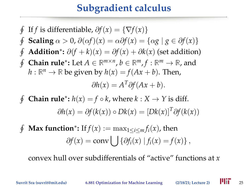$$
\oint \text{ If } f \text{ is differentiable, } \partial f(x) = \{ \nabla f(x) \}
$$
\n
$$
\oint \text{Scaling } \alpha > 0, \partial(\alpha f)(x) = \alpha \partial f(x) = \{ \alpha g \mid g \in \partial f(x) \}
$$
\n
$$
\oint \text{Addition}^* : \partial(f + k)(x) = \partial f(x) + \partial k(x) \text{ (set addition)}
$$
\n
$$
\oint \text{Chain rule}^* : \text{Let } A \in \mathbb{R}^{m \times n}, b \in \mathbb{R}^m, f : \mathbb{R}^m \to \mathbb{R}, \text{ and}
$$
\n
$$
h : \mathbb{R}^n \to \mathbb{R} \text{ be given by } h(x) = f(Ax + b). \text{ Then,}
$$
\n
$$
\partial h(x) = A^T \partial f(Ax + b).
$$

 $\oint$ **Chain rule\*:**  $h(x) = f \circ k$ , where  $k : X \to Y$  is diff.  $\partial h(x) = \partial f(k(x)) \circ Dk(x) = [Dk(x)]^T \partial f(k(x))$ 

 $\oint$  $\mathbf{Max\ function}^* \colon \mathrm{If} f(x) := \max_{1 \leq i \leq m} f_i(x)$ , then  $\partial f(x) = \text{conv} \bigcup \{ \partial f_i(x) \mid f_i(x) = f(x) \},$ 

convex hull over subdifferentials of "active" functions at *x*

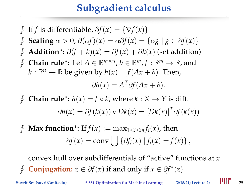$$
\oint \text{ If } f \text{ is differentiable, } \partial f(x) = \{ \nabla f(x) \}
$$
\n
$$
\oint \text{Scaling } \alpha > 0, \partial(\alpha f)(x) = \alpha \partial f(x) = \{ \alpha g \mid g \in \partial f(x) \}
$$
\n
$$
\oint \text{ Addition}^* : \partial (f + k)(x) = \partial f(x) + \partial k(x) \text{ (set addition)}
$$
\n
$$
\oint \text{Chain rule}^* : \text{Let } A \in \mathbb{R}^{m \times n}, b \in \mathbb{R}^m, f : \mathbb{R}^m \to \mathbb{R}, \text{ and}
$$
\n
$$
h : \mathbb{R}^n \to \mathbb{R} \text{ be given by } h(x) = f(Ax + b). \text{ Then,}
$$
\n
$$
\partial h(x) = A^T \partial f(Ax + b).
$$

 $\phi$ **Chain rule\*:**  $h(x) = f \circ k$ , where  $k : X \to Y$  is diff.  $\partial h(x) = \partial f(k(x)) \circ Dk(x) = [Dk(x)]^T \partial f(k(x))$ 

 $\oint$  $\mathbf{Max\ function}^* \colon \mathrm{If} f(x) := \max_{1 \leq i \leq m} f_i(x)$ , then  $\partial f(x) = \text{conv} \bigcup \{ \partial f_i(x) \mid f_i(x) = f(x) \},$ 

convex hull over subdifferentials of "active" functions at *x*  $\phi$ **Conjugation:**  $z \in \partial f(x)$  if and only if  $x \in \partial f^*(z)$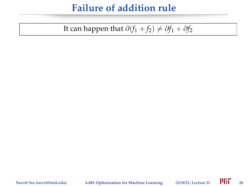# **Failure of addition rule**

#### It can happen that  $\partial(f_1 + f_2) \neq \partial f_1 + \partial f_2$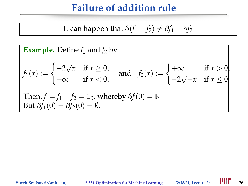# **Failure of addition rule**

It can happen that 
$$
\partial(f_1 + f_2) \neq \partial f_1 + \partial f_2
$$

**Example.** Define 
$$
f_1
$$
 and  $f_2$  by  
\n
$$
f_1(x) := \begin{cases}\n-2\sqrt{x} & \text{if } x \ge 0, \\
+\infty & \text{if } x < 0,\n\end{cases} \text{ and } f_2(x) := \begin{cases}\n+\infty & \text{if } x > 0, \\
-2\sqrt{-x} & \text{if } x \le 0.\n\end{cases}
$$
\nThen,  $f = f_1 + f_2 = \mathbb{1}_0$ , whereby  $\partial f(0) = \mathbb{R}$   
\nBut  $\partial f_1(0) = \partial f_2(0) = \emptyset$ .

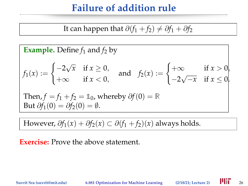# **Failure of addition rule**

It can happen that 
$$
\partial(f_1 + f_2) \neq \partial f_1 + \partial f_2
$$

**Example.** Define 
$$
f_1
$$
 and  $f_2$  by  
\n
$$
f_1(x) := \begin{cases}\n-2\sqrt{x} & \text{if } x \ge 0, \\
+\infty & \text{if } x < 0,\n\end{cases} \text{ and } f_2(x) := \begin{cases}\n+\infty & \text{if } x > 0, \\
-2\sqrt{-x} & \text{if } x \le 0.\n\end{cases}
$$
\nThen,  $f = f_1 + f_2 = \mathbb{1}_0$ , whereby  $\partial f(0) = \mathbb{R}$   
\nBut  $\partial f_1(0) = \partial f_2(0) = \emptyset$ .

However,  $\partial f_1(x) + \partial f_2(x) \subset \partial (f_1 + f_2)(x)$  always holds.

#### **Exercise:** Prove the above statement.

**Suvrit Sra (suvrit@mit.edu) 6.881 Optimization for Machine Learning (2/18/21; Lecture 2)** 26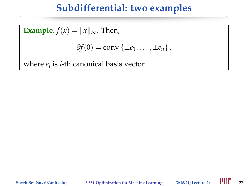# **Subdifferential: two examples**

**Example.**  $f(x) = ||x||_{\infty}$ . Then,  $\partial f(0) = \text{conv} \{ \pm e_1, \ldots, \pm e_n \},$ where *e<sup>i</sup>* is *i*-th canonical basis vector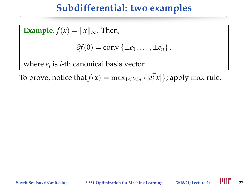# **Subdifferential: two examples**

**Example.**  $f(x) = ||x||_{\infty}$ . Then,  $\partial f(0) = \text{conv} \{ \pm e_1, \ldots, \pm e_n \},$ where *e<sup>i</sup>* is *i*-th canonical basis vector

To prove, notice that  $f(x) = \max_{1 \leq i \leq n} \left\{ |e_i^T x| \right\}$ ; apply max rule.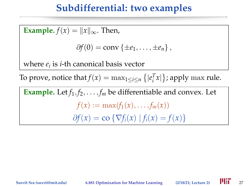# **Subdifferential: two examples**

**Example.**  $f(x) = ||x||_{\infty}$ . Then,  $\partial f(0) = \text{conv} \{ \pm e_1, \ldots, \pm e_n \}$ where *e<sup>i</sup>* is *i*-th canonical basis vector To prove, notice that  $f(x) = \max_{1 \leq i \leq n} \left\{ |e_i^T x| \right\}$ ; apply max rule. **Example.** Let  $f_1, f_2, \ldots, f_m$  be differentiable and convex. Let  $f(x) := \max(f_1(x), \ldots, f_m(x))$  $∂f(x) = co {∇f<sub>i</sub>(x) | f<sub>i</sub>(x) = f(x)}$ 

**Suvrit Sra (suvrit@mit.edu) 6.881 Optimization for Machine Learning (2/18/21; Lecture 2)** 27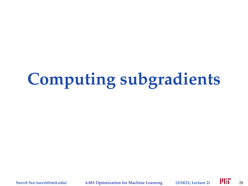# **Computing subgradients**

**Suvrit Sra (suvrit@mit.edu) 6.881 Optimization for Machine Learning (2/18/21; Lecture 2)** 28

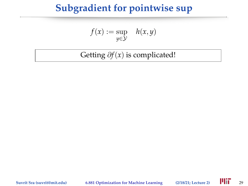$$
f(x) := \sup_{y \in \mathcal{Y}} \quad h(x, y)
$$

Getting ∂*f*(*x*) is complicated!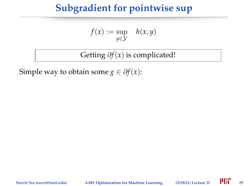$$
f(x) := \sup_{y \in \mathcal{Y}} \quad h(x, y)
$$

Getting ∂*f*(*x*) is complicated!

Simple way to obtain some *g*  $\in \partial f(x)$ :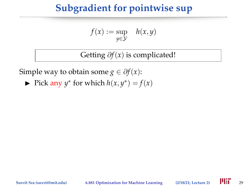$$
f(x) := \sup_{y \in \mathcal{Y}} \quad h(x, y)
$$

Getting ∂*f*(*x*) is complicated!

Simple way to obtain some *g*  $\in \partial f(x)$ :

• Pick any  $y^*$  for which  $h(x, y^*) = f(x)$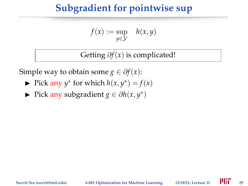$$
f(x) := \sup_{y \in \mathcal{Y}} \quad h(x, y)
$$

Getting ∂*f*(*x*) is complicated!

Simple way to obtain some *g*  $\in \partial f(x)$ :

- Pick any  $y^*$  for which  $h(x, y^*) = f(x)$
- ► Pick any subgradient *g*  $\in \partial h(x, y^*)$

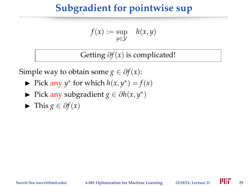$$
f(x) := \sup_{y \in \mathcal{Y}} \quad h(x, y)
$$

Getting ∂*f*(*x*) is complicated!

Simple way to obtain some *g*  $\in \partial f(x)$ :

- Pick any  $y^*$  for which  $h(x, y^*) = f(x)$
- ► Pick any subgradient *g*  $\in \partial h(x, y^*)$
- $\blacktriangleright$  This *g* ∈  $\partial f(x)$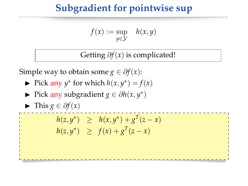$$
f(x) := \sup_{y \in \mathcal{Y}} \quad h(x, y)
$$

Getting ∂*f*(*x*) is complicated!

Simple way to obtain some  $g \in \partial f(x)$ :

- Pick any  $y^*$  for which  $h(x, y^*) = f(x)$
- ► Pick any subgradient *g*  $\in \partial h(x, y^*)$

 $\blacktriangleright$  This *g* ∈  $\partial f(x)$ 

 $h(z, y^*) \geq h(x, y^*) + g^T(z - x)$  $h(z, y^*) \geq f(x) + g^T(z - x)$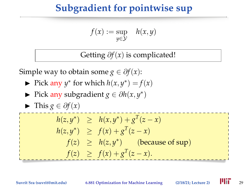$$
f(x) := \sup_{y \in \mathcal{Y}} \quad h(x, y)
$$

Getting ∂*f*(*x*) is complicated!

Simple way to obtain some *g*  $\in \partial f(x)$ :

- Pick any  $y^*$  for which  $h(x, y^*) = f(x)$
- ► Pick any subgradient *g*  $\in \partial h(x, y^*)$

$$
\blacktriangleright \text{ This } g \in \partial f(x)
$$

$$
h(z, y^*) \geq h(x, y^*) + g^T(z - x)
$$
  
\n
$$
h(z, y^*) \geq f(x) + g^T(z - x)
$$
  
\n
$$
f(z) \geq h(z, y^*) \quad \text{(because of sup)}
$$
  
\n
$$
f(z) \geq f(x) + g^T(z - x).
$$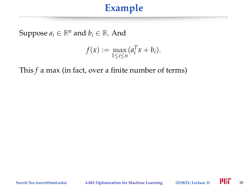Suppose  $a_i \in \mathbb{R}^n$  and  $b_i \in \mathbb{R}$ . And

$$
f(x) := \max_{1 \leq i \leq n} (a_i^T x + b_i).
$$

This *f* a max (in fact, over a finite number of terms)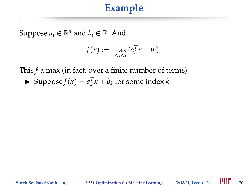Suppose  $a_i \in \mathbb{R}^n$  and  $b_i \in \mathbb{R}$ . And

$$
f(x) := \max_{1 \leq i \leq n} (a_i^T x + b_i).
$$

This *f* a max (in fact, over a finite number of terms)

▶ Suppose  $f(x) = a_k^T x + b_k$  for some index *k* 

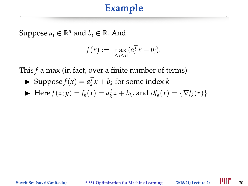Suppose  $a_i \in \mathbb{R}^n$  and  $b_i \in \mathbb{R}$ . And

$$
f(x) := \max_{1 \leq i \leq n} (a_i^T x + b_i).
$$

This *f* a max (in fact, over a finite number of terms)

- ▶ Suppose  $f(x) = a_k^T x + b_k$  for some index *k*
- ► Here *f*(*x*; *y*) = *f*<sub>*k*</sub>(*x*) =  $a_k^T x + b_k$ , and  $\partial f_k(x) = \{\nabla f_k(x)\}\$

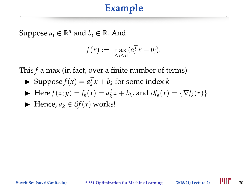Suppose  $a_i \in \mathbb{R}^n$  and  $b_i \in \mathbb{R}$ . And

$$
f(x) := \max_{1 \leq i \leq n} (a_i^T x + b_i).
$$

This *f* a max (in fact, over a finite number of terms)

- ▶ Suppose  $f(x) = a_k^T x + b_k$  for some index *k*
- ► Here *f*(*x*; *y*) = *f*<sub>*k*</sub>(*x*) =  $a_k^T x + b_k$ , and  $\partial f_k(x) = \{\nabla f_k(x)\}\$
- $\blacktriangleright$  Hence,  $a_k \in \partial f(x)$  works!

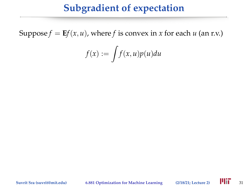# **Subgradient of expectation**

Suppose  $f = Ef(x, u)$ , where *f* is convex in *x* for each *u* (an r.v.)

$$
f(x) := \int f(x, u)p(u)du
$$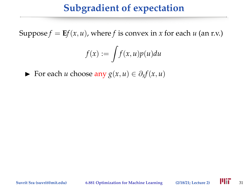# **Subgradient of expectation**

Suppose  $f = Ef(x, u)$ , where f is convex in x for each u (an r.v.)

$$
f(x) := \int f(x, u)p(u)du
$$

For each *u* choose any  $g(x, u) \in \partial_x f(x, u)$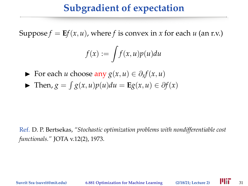# **Subgradient of expectation**

Suppose  $f = Ef(x, u)$ , where f is convex in x for each u (an r.v.)

$$
f(x) := \int f(x, u)p(u)du
$$

- $\triangleright$  For each *u* choose any  $g(x, u) \in \partial_x f(x, u)$
- $\blacktriangleright$  Then,  $g = \int g(x, u)p(u)du = \mathbf{E}g(x, u) \in \partial f(x)$

Ref. D. P. Bertsekas, *"Stochastic optimization problems with nondifferentiable cost functionals."* JOTA v.12(2), 1973.

**Suvrit Sra (suvrit@mit.edu) 6.881 Optimization for Machine Learning (2/18/21; Lecture 2)** 31

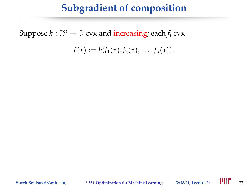Suppose  $h : \mathbb{R}^n \to \mathbb{R}$  cvx and increasing; each  $f_i$  cvx

$$
f(x) := h(f_1(x), f_2(x), \ldots, f_n(x)).
$$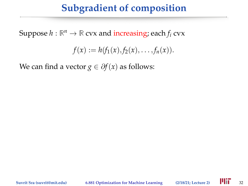Suppose  $h : \mathbb{R}^n \to \mathbb{R}$  cvx and increasing; each  $f_i$  cvx

$$
f(x) := h(f_1(x), f_2(x), \ldots, f_n(x)).
$$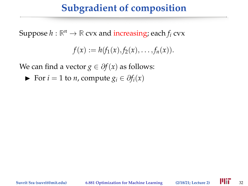Suppose  $h : \mathbb{R}^n \to \mathbb{R}$  cvx and increasing; each  $f_i$  cvx

$$
f(x) := h(f_1(x), f_2(x), \ldots, f_n(x)).
$$

We can find a vector *g*  $\in \partial f(x)$  as follows:

 $\triangleright$  For *i* = 1 to *n*, compute  $g_i \in \partial f_i(x)$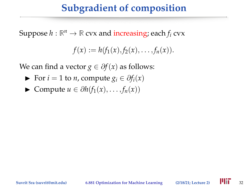Suppose  $h : \mathbb{R}^n \to \mathbb{R}$  cvx and increasing; each  $f_i$  cvx

$$
f(x) := h(f_1(x), f_2(x), \ldots, f_n(x)).
$$

- $\triangleright$  For *i* = 1 to *n*, compute  $g_i \in \partial f_i(x)$
- $\triangleright$  Compute *u* ∈  $\partial h(f_1(x), \ldots, f_n(x))$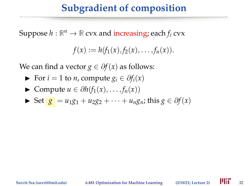Suppose  $h : \mathbb{R}^n \to \mathbb{R}$  cvx and increasing; each  $f_i$  cvx

$$
f(x) := h(f_1(x), f_2(x), \ldots, f_n(x)).
$$

- $\triangleright$  For *i* = 1 to *n*, compute  $g_i \in \partial f_i(x)$
- $\triangleright$  Compute *u* ∈  $\partial h(f_1(x), \ldots, f_n(x))$

• Set 
$$
g = u_1g_1 + u_2g_2 + \cdots + u_ng_n
$$
; this  $g \in \partial f(x)$ 

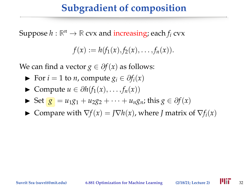Suppose  $h : \mathbb{R}^n \to \mathbb{R}$  cvx and increasing; each  $f_i$  cvx

$$
f(x) := h(f_1(x), f_2(x), \ldots, f_n(x)).
$$

- $\triangleright$  For *i* = 1 to *n*, compute  $g_i \in \partial f_i(x)$
- $\triangleright$  Compute *u* ∈  $\partial h(f_1(x), \ldots, f_n(x))$
- ► Set  $g = u_1 g_1 + u_2 g_2 + \cdots + u_n g_n$ ; this  $g \in \partial f(x)$
- ► Compare with  $\nabla f(x) = I \nabla h(x)$ , where *I* matrix of  $\nabla f_i(x)$